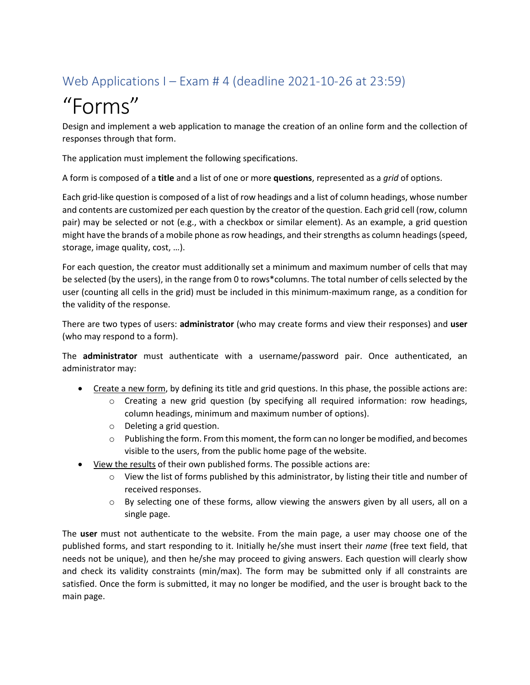## Web Applications I – Exam # 4 (deadline 2021-10-26 at 23:59)

# "Forms"

Design and implement a web application to manage the creation of an online form and the collection of responses through that form.

The application must implement the following specifications.

A form is composed of a **title** and a list of one or more **questions**, represented as a *grid* of options.

Each grid-like question is composed of a list of row headings and a list of column headings, whose number and contents are customized per each question by the creator of the question. Each grid cell (row, column pair) may be selected or not (e.g., with a checkbox or similar element). As an example, a grid question might have the brands of a mobile phone as row headings, and their strengths as column headings (speed, storage, image quality, cost, …).

For each question, the creator must additionally set a minimum and maximum number of cells that may be selected (by the users), in the range from 0 to rows\*columns. The total number of cells selected by the user (counting all cells in the grid) must be included in this minimum-maximum range, as a condition for the validity of the response.

There are two types of users: **administrator** (who may create forms and view their responses) and **user** (who may respond to a form).

The **administrator** must authenticate with a username/password pair. Once authenticated, an administrator may:

- Create a new form, by defining its title and grid questions. In this phase, the possible actions are:
	- $\circ$  Creating a new grid question (by specifying all required information: row headings, column headings, minimum and maximum number of options).
	- o Deleting a grid question.
	- $\circ$  Publishing the form. From this moment, the form can no longer be modified, and becomes visible to the users, from the public home page of the website.
- View the results of their own published forms. The possible actions are:
	- $\circ$  View the list of forms published by this administrator, by listing their title and number of received responses.
	- $\circ$  By selecting one of these forms, allow viewing the answers given by all users, all on a single page.

The **user** must not authenticate to the website. From the main page, a user may choose one of the published forms, and start responding to it. Initially he/she must insert their *name* (free text field, that needs not be unique), and then he/she may proceed to giving answers. Each question will clearly show and check its validity constraints (min/max). The form may be submitted only if all constraints are satisfied. Once the form is submitted, it may no longer be modified, and the user is brought back to the main page.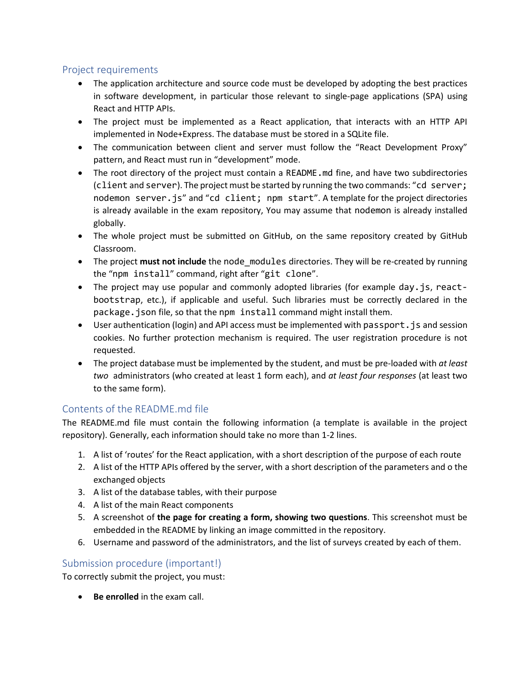#### Project requirements

- The application architecture and source code must be developed by adopting the best practices in software development, in particular those relevant to single-page applications (SPA) using React and HTTP APIs.
- The project must be implemented as a React application, that interacts with an HTTP API implemented in Node+Express. The database must be stored in a SQLite file.
- The communication between client and server must follow the "React Development Proxy" pattern, and React must run in "development" mode.
- The root directory of the project must contain a README. and fine, and have two subdirectories (client and server). The project must be started by running the two commands: "cd server; nodemon server.js" and "cd client; npm start". A template for the project directories is already available in the exam repository, You may assume that nodemon is already installed globally.
- The whole project must be submitted on GitHub, on the same repository created by GitHub Classroom.
- The project must not include the node\_modules directories. They will be re-created by running the "npm install" command, right after "git clone".
- The project may use popular and commonly adopted libraries (for example day, is, reactbootstrap, etc.), if applicable and useful. Such libraries must be correctly declared in the package.json file, so that the npm install command might install them.
- User authentication (login) and API access must be implemented with passport. js and session cookies. No further protection mechanism is required. The user registration procedure is not requested.
- The project database must be implemented by the student, and must be pre-loaded with *at least two* administrators (who created at least 1 form each), and *at least four responses* (at least two to the same form).

### Contents of the README.md file

The README.md file must contain the following information (a template is available in the project repository). Generally, each information should take no more than 1-2 lines.

- 1. A list of 'routes' for the React application, with a short description of the purpose of each route
- 2. A list of the HTTP APIs offered by the server, with a short description of the parameters and o the exchanged objects
- 3. A list of the database tables, with their purpose
- 4. A list of the main React components
- 5. A screenshot of **the page for creating a form, showing two questions**. This screenshot must be embedded in the README by linking an image committed in the repository.
- 6. Username and password of the administrators, and the list of surveys created by each of them.

#### Submission procedure (important!)

To correctly submit the project, you must:

• **Be enrolled** in the exam call.